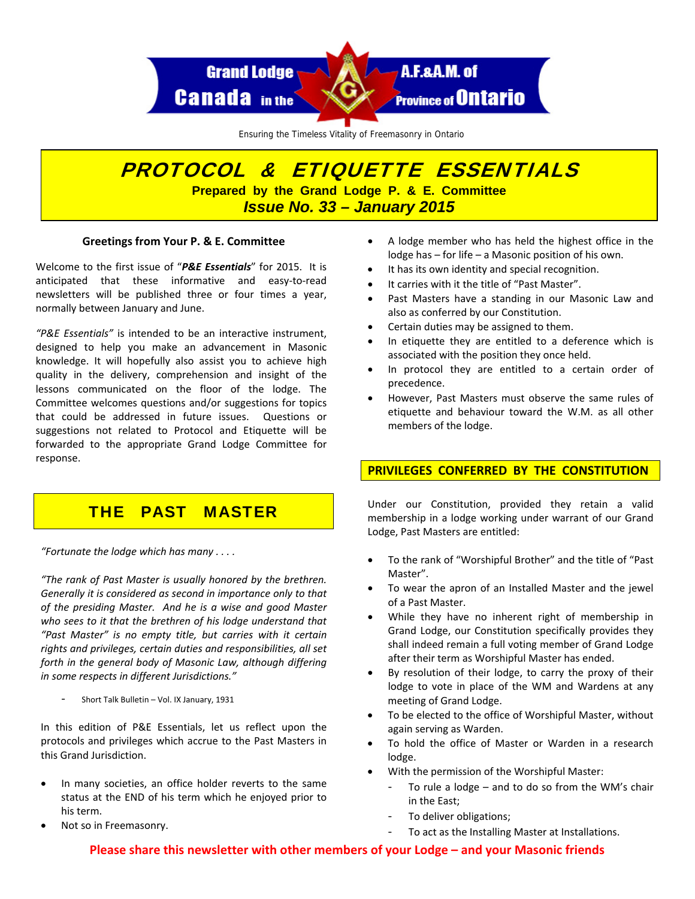

Ensuring the Timeless Vitality of Freemasonry in Ontario

# PROTOCOL & ETIQUETTE ESSENTIALS **Prepared by the Grand Lodge P. & E. Committee**  *Issue No. 33 – January 2015*

## **Greetings from Your P. & E. Committee**

Welcome to the first issue of "*P&E Essentials*" for 2015. It is anticipated that these informative and easy‐to‐read newsletters will be published three or four times a year, normally between January and June.

*"P&E Essentials"* is intended to be an interactive instrument, designed to help you make an advancement in Masonic knowledge. It will hopefully also assist you to achieve high quality in the delivery, comprehension and insight of the lessons communicated on the floor of the lodge. The Committee welcomes questions and/or suggestions for topics that could be addressed in future issues. Questions or suggestions not related to Protocol and Etiquette will be forwarded to the appropriate Grand Lodge Committee for response.

# THE PAST MASTER

*"Fortunate the lodge which has many . . . .*

*"The rank of Past Master is usually honored by the brethren. Generally it is considered as second in importance only to that of the presiding Master. And he is a wise and good Master who sees to it that the brethren of his lodge understand that "Past Master" is no empty title, but carries with it certain rights and privileges, certain duties and responsibilities, all set forth in the general body of Masonic Law, although differing in some respects in different Jurisdictions."*

‐ Short Talk Bulletin – Vol. IX January, <sup>1931</sup>

In this edition of P&E Essentials, let us reflect upon the protocols and privileges which accrue to the Past Masters in this Grand Jurisdiction.

- In many societies, an office holder reverts to the same status at the END of his term which he enjoyed prior to his term.
- Not so in Freemasonry.
- A lodge member who has held the highest office in the lodge has – for life – a Masonic position of his own.
- It has its own identity and special recognition.
- It carries with it the title of "Past Master".
- Past Masters have a standing in our Masonic Law and also as conferred by our Constitution.
- Certain duties may be assigned to them.
- In etiquette they are entitled to a deference which is associated with the position they once held.
- In protocol they are entitled to a certain order of precedence.
- However, Past Masters must observe the same rules of etiquette and behaviour toward the W.M. as all other members of the lodge.

## **PRIVILEGES CONFERRED BY THE CONSTITUTION**

Under our Constitution, provided they retain a valid membership in a lodge working under warrant of our Grand Lodge, Past Masters are entitled:

- To the rank of "Worshipful Brother" and the title of "Past Master".
- To wear the apron of an Installed Master and the jewel of a Past Master.
- While they have no inherent right of membership in Grand Lodge, our Constitution specifically provides they shall indeed remain a full voting member of Grand Lodge after their term as Worshipful Master has ended.
- By resolution of their lodge, to carry the proxy of their lodge to vote in place of the WM and Wardens at any meeting of Grand Lodge.
- To be elected to the office of Worshipful Master, without again serving as Warden.
- To hold the office of Master or Warden in a research lodge.
- With the permission of the Worshipful Master:
	- To rule a lodge  $-$  and to do so from the WM's chair in the East;
	- To deliver obligations;
	- To act as the Installing Master at Installations.

**Please share this newsletter with other members of your Lodge – and your Masonic friends**